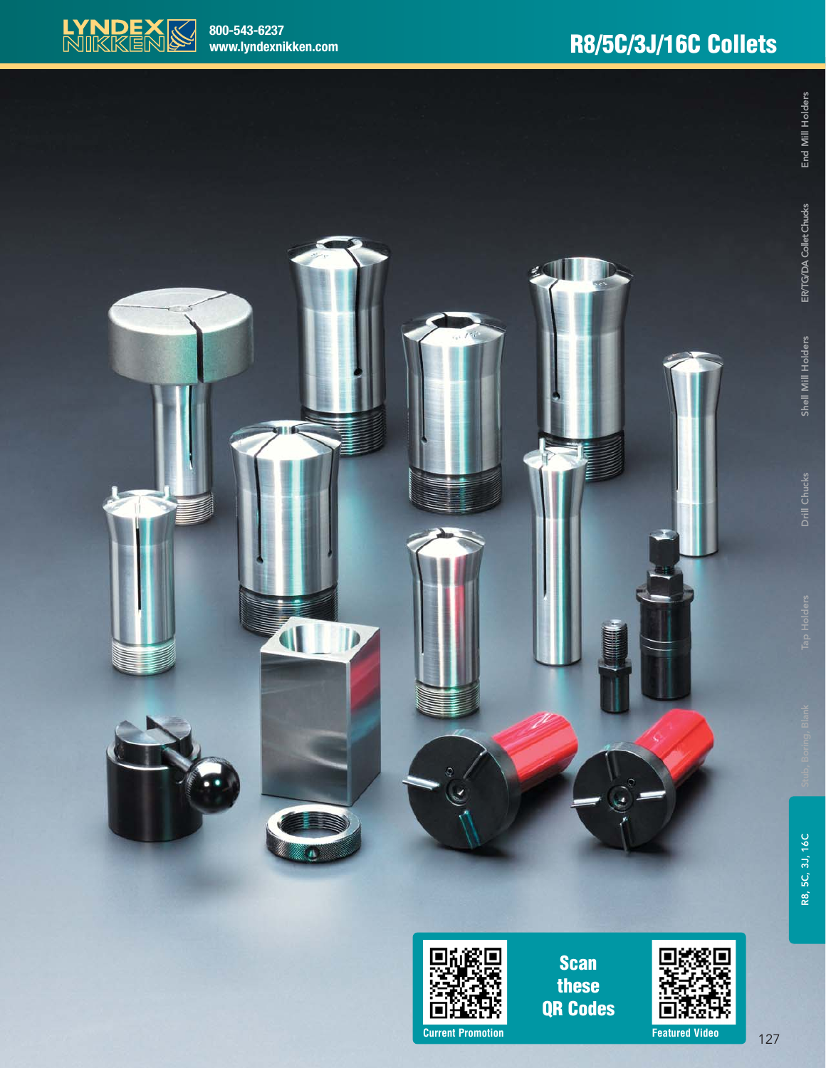





**Scan these QR Codes**



<sup>127</sup> **Current Promotion Featured Video**

End Mill Holders

ER/TG/DA Collet Chucks

Shell Mill Holders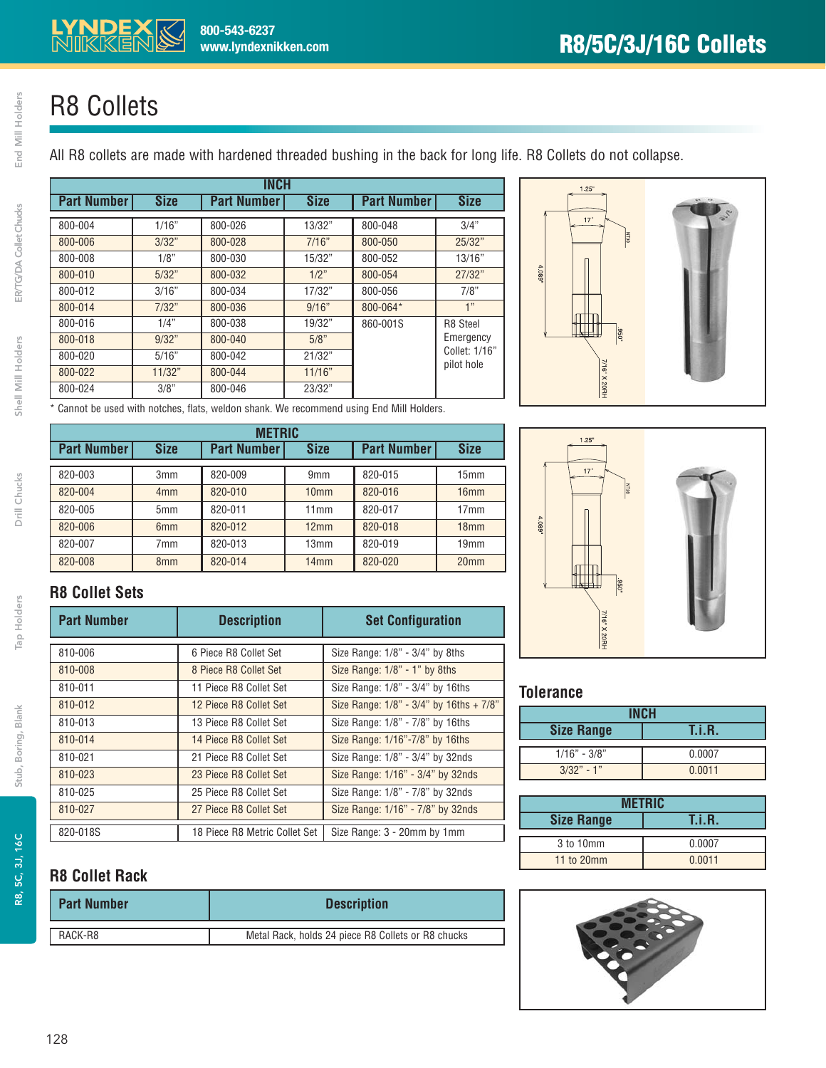## R8 Collets

All R8 collets are made with hardened threaded bushing in the back for long life. R8 Collets do not collapse.

| <b>INCH</b>        |             |                    |             |                    |               |
|--------------------|-------------|--------------------|-------------|--------------------|---------------|
| <b>Part Number</b> | <b>Size</b> | <b>Part Number</b> | <b>Size</b> | <b>Part Number</b> | <b>Size</b>   |
| 800-004            | 1/16"       | 800-026            | 13/32"      | 800-048            | 3/4"          |
| 800-006            | 3/32"       | 800-028            | 7/16"       | 800-050            | 25/32"        |
| 800-008            | 1/8"        | 800-030            | 15/32"      | 800-052            | 13/16"        |
| 800-010            | 5/32"       | 800-032            | 1/2"        | 800-054            | 27/32"        |
| 800-012            | 3/16"       | 800-034            | 17/32"      | 800-056            | 7/8"          |
| 800-014            | 7/32"       | 800-036            | 9/16"       | 800-064*           | 1"            |
| 800-016            | 1/4"        | 800-038            | 19/32"      | 860-001S           | R8 Steel      |
| 800-018            | 9/32"       | 800-040            | 5/8"        |                    | Emergency     |
| 800-020            | 5/16"       | 800-042            | 21/32"      |                    | Collet: 1/16" |
| 800-022            | 11/32"      | 800-044            | 11/16"      |                    | pilot hole    |
| 800-024            | 3/8"        | 800-046            | 23/32"      |                    |               |



\* Cannot be used with notches, flats, weldon shank. We recommend using End Mill Holders.

| <b>METRIC</b>      |                 |                    |                  |                    |                  |
|--------------------|-----------------|--------------------|------------------|--------------------|------------------|
| <b>Part Number</b> | <b>Size</b>     | <b>Part Number</b> | <b>Size</b>      | <b>Part Number</b> | <b>Size</b>      |
|                    |                 |                    |                  |                    |                  |
| 820-003            | 3 <sub>mm</sub> | 820-009            | 9 <sub>mm</sub>  | 820-015            | 15 <sub>mm</sub> |
| 820-004            | 4 <sub>mm</sub> | 820-010            | 10 <sub>mm</sub> | 820-016            | 16 <sub>mm</sub> |
| 820-005            | 5 <sub>mm</sub> | 820-011            | 11mm             | 820-017            | 17 <sub>mm</sub> |
| 820-006            | 6 <sub>mm</sub> | 820-012            | 12mm             | 820-018            | 18 <sub>mm</sub> |
| 820-007            | 7mm             | 820-013            | 13mm             | 820-019            | 19mm             |
| 820-008            | 8 <sub>mm</sub> | 820-014            | 14mm             | 820-020            | 20 <sub>mm</sub> |



#### **R8 Collet Sets**

| <b>Part Number</b> | <b>Description</b>            | <b>Set Configuration</b>                            |
|--------------------|-------------------------------|-----------------------------------------------------|
|                    |                               |                                                     |
| 810-006            | 6 Piece R8 Collet Set         | Size Range: 1/8" - 3/4" by 8ths                     |
| 810-008            | 8 Piece R8 Collet Set         | Size Range: 1/8" - 1" by 8ths                       |
| 810-011            | 11 Piece R8 Collet Set        | Size Range: 1/8" - 3/4" by 16ths                    |
| 810-012            | 12 Piece R8 Collet Set        | Size Range: $1/8$ " - $3/4$ " by $16$ ths + $7/8$ " |
| 810-013            | 13 Piece R8 Collet Set        | Size Range: 1/8" - 7/8" by 16ths                    |
| 810-014            | 14 Piece R8 Collet Set        | Size Range: 1/16"-7/8" by 16ths                     |
| 810-021            | 21 Piece R8 Collet Set        | Size Range: 1/8" - 3/4" by 32nds                    |
| 810-023            | 23 Piece R8 Collet Set        | Size Range: 1/16" - 3/4" by 32nds                   |
| 810-025            | 25 Piece R8 Collet Set        | Size Range: 1/8" - 7/8" by 32nds                    |
| 810-027            | 27 Piece R8 Collet Set        | Size Range: 1/16" - 7/8" by 32nds                   |
| 820-018S           | 18 Piece R8 Metric Collet Set | Size Range: 3 - 20mm by 1mm                         |

#### **R8 Collet Rack**

| <b>Part Number</b> | <b>Description</b>                                 |  |
|--------------------|----------------------------------------------------|--|
| RACK-R8            | Metal Rack, holds 24 piece R8 Collets or R8 chucks |  |

#### **Tolerance**

| <b>Size Range</b> | T.i.R. |  |  |
|-------------------|--------|--|--|
| $1/16" - 3/8"$    | 0.0007 |  |  |
| $3/32" - 1"$      | 0.0011 |  |  |

| <b>METRIC</b>     |               |  |  |  |
|-------------------|---------------|--|--|--|
| <b>Size Range</b> | <b>T.i.R.</b> |  |  |  |
| 3 to 10mm         | 0.0007        |  |  |  |
| 11 to 20mm        | 0.0011        |  |  |  |



Tap Holders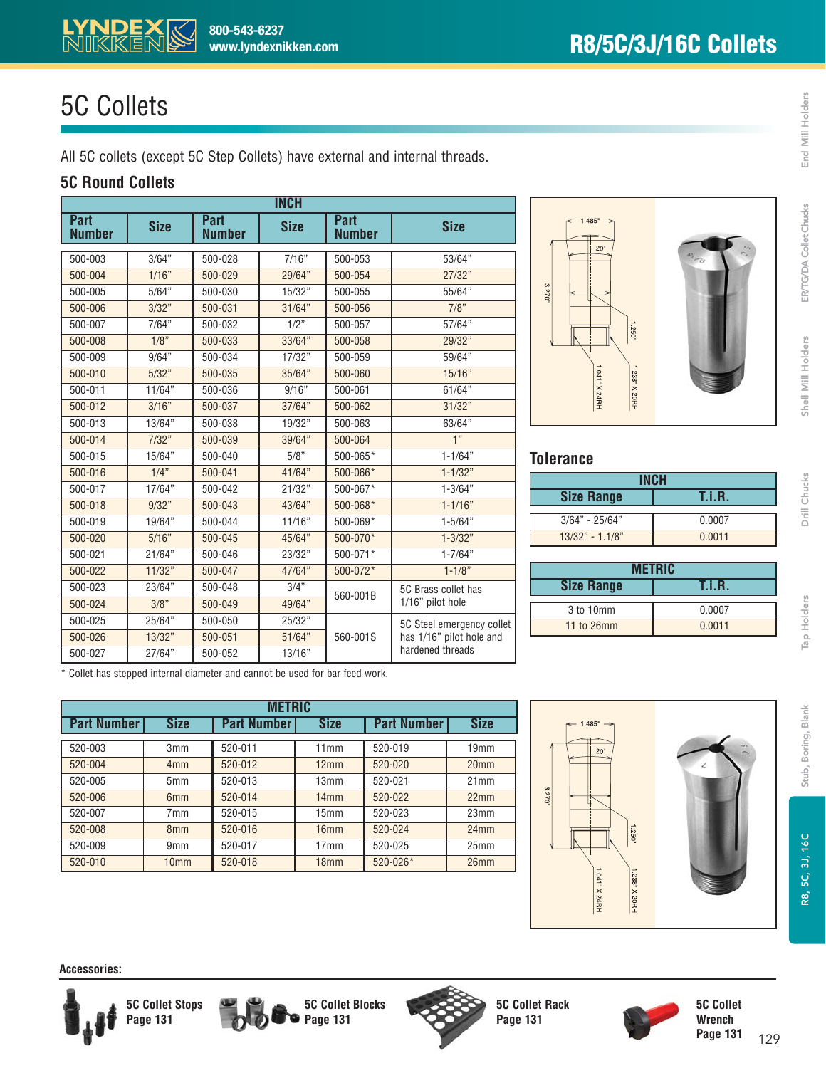## 5C Collets

**RYNDEX 800-543-6237**<br>MIKKEN&www.lyndexni

All 5C collets (except 5C Step Collets) have external and internal threads.

**www.lyndexnikken.com**

#### **5C Round Collets**

| <b>INCH</b>                  |             |                              |             |                              |                           |
|------------------------------|-------------|------------------------------|-------------|------------------------------|---------------------------|
| <b>Part</b><br><b>Number</b> | <b>Size</b> | <b>Part</b><br><b>Number</b> | <b>Size</b> | <b>Part</b><br><b>Number</b> | <b>Size</b>               |
| 500-003                      | 3/64"       | 500-028                      | 7/16"       | 500-053                      | 53/64"                    |
| 500-004                      | 1/16"       | 500-029                      | 29/64"      | 500-054                      | 27/32"                    |
| 500-005                      | 5/64"       | 500-030                      | 15/32"      | 500-055                      | 55/64"                    |
| 500-006                      | 3/32"       | 500-031                      | 31/64"      | 500-056                      | 7/8"                      |
| 500-007                      | 7/64"       | 500-032                      | 1/2"        | 500-057                      | 57/64"                    |
| 500-008                      | 1/8"        | 500-033                      | 33/64"      | 500-058                      | 29/32"                    |
| 500-009                      | 9/64"       | 500-034                      | 17/32"      | 500-059                      | 59/64"                    |
| 500-010                      | 5/32"       | 500-035                      | 35/64"      | 500-060                      | 15/16"                    |
| 500-011                      | 11/64"      | 500-036                      | 9/16"       | 500-061                      | 61/64"                    |
| 500-012                      | 3/16"       | 500-037                      | 37/64"      | 500-062                      | 31/32"                    |
| 500-013                      | 13/64"      | 500-038                      | 19/32"      | 500-063                      | 63/64"                    |
| 500-014                      | 7/32"       | 500-039                      | 39/64"      | 500-064                      | 1"                        |
| 500-015                      | 15/64"      | 500-040                      | 5/8"        | 500-065*                     | $1 - 1/64"$               |
| 500-016                      | $1/4$ "     | 500-041                      | 41/64"      | 500-066*                     | $1 - 1/32"$               |
| 500-017                      | 17/64"      | 500-042                      | 21/32"      | 500-067*                     | $1 - 3/64"$               |
| 500-018                      | 9/32"       | 500-043                      | 43/64"      | 500-068*                     | $1 - 1/16"$               |
| 500-019                      | 19/64"      | 500-044                      | 11/16"      | 500-069*                     | $1 - 5/64"$               |
| 500-020                      | 5/16"       | 500-045                      | 45/64"      | 500-070*                     | $1 - 3/32"$               |
| 500-021                      | 21/64"      | 500-046                      | 23/32"      | 500-071*                     | $1 - 7/64"$               |
| 500-022                      | 11/32"      | 500-047                      | 47/64"      | 500-072*                     | $1 - 1/8"$                |
| 500-023                      | 23/64"      | 500-048                      | 3/4"        | 560-001B                     | 5C Brass collet has       |
| 500-024                      | 3/8"        | 500-049                      | 49/64"      |                              | 1/16" pilot hole          |
| 500-025                      | 25/64"      | 500-050                      | 25/32"      |                              | 5C Steel emergency collet |
| 500-026                      | 13/32"      | 500-051                      | 51/64"      | 560-001S                     | has 1/16" pilot hole and  |
| 500-027                      | 27/64"      | 500-052                      | 13/16"      |                              | hardened threads          |

**METRIC Part Number Size Part Number Size Part Number Size** 520-003 3mm 520-011 11mm 520-019 19mm 520-004 4mm 520-012 12mm 520-020 20mm 520-005 5mm 520-013 13mm 520-021 21mm 520-006 6mm 520-014 14mm 520-022 22mm 520-007 7mm 520-015 15mm 520-023 23mm 520-008 8mm 520-016 16mm 520-024 24mm 520-009 9mm 520-017 17mm 520-025 25mm 520-010 10mm 520-018 18mm 520-026\* 26mm

\* Collet has stepped internal diameter and cannot be used for bar feed work.



#### **Tolerance**

| INCH              |        |  |  |
|-------------------|--------|--|--|
| <b>Size Range</b> | I.i.R. |  |  |
|                   |        |  |  |
| $3/64" - 25/64"$  | 0.0007 |  |  |
| $13/32" - 1.1/8"$ | 0.0011 |  |  |

| <b>METRIC</b>     |        |  |  |  |
|-------------------|--------|--|--|--|
| <b>Size Range</b> | T.i.R. |  |  |  |
| 3 to 10mm         | 0.0007 |  |  |  |
| 11 to 26mm        | 0.0011 |  |  |  |
|                   |        |  |  |  |

**Tap Holders** 

| <b>Accessories:</b> |
|---------------------|
|---------------------|







**5C Collet Rack Page 131**

3270

1041" X 24RH





ER/TG/DA Collet Chucks

Shell Mill Holders

Drill Chucks

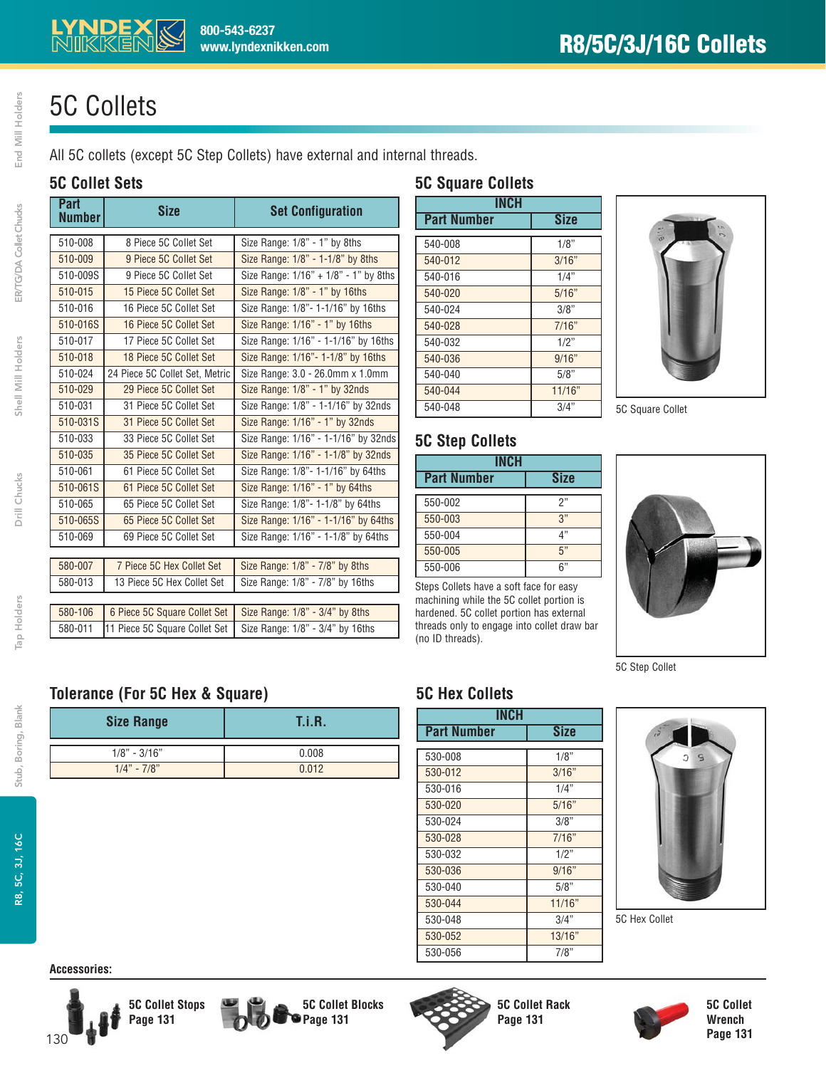## 5C Collets

All 5C collets (except 5C Step Collets) have external and internal threads.

**www.lyndexnikken.com**

**800-543-6237**

#### **5C Collet Sets**

| Part<br><b>Number</b> | <b>Size</b>                    | <b>Set Configuration</b>              |
|-----------------------|--------------------------------|---------------------------------------|
| 510-008               | 8 Piece 5C Collet Set          | Size Range: 1/8" - 1" by 8ths         |
| 510-009               | 9 Piece 5C Collet Set          | Size Range: 1/8" - 1-1/8" by 8ths     |
| 510-009S              | 9 Piece 5C Collet Set          | Size Range: 1/16" + 1/8" - 1" by 8ths |
| 510-015               | 15 Piece 5C Collet Set         | Size Range: 1/8" - 1" by 16ths        |
| 510-016               | 16 Piece 5C Collet Set         | Size Range: 1/8" - 1-1/16" by 16ths   |
| 510-016S              | 16 Piece 5C Collet Set         | Size Range: 1/16" - 1" by 16ths       |
| 510-017               | 17 Piece 5C Collet Set         | Size Range: 1/16" - 1-1/16" by 16ths  |
| 510-018               | 18 Piece 5C Collet Set         | Size Range: 1/16"- 1-1/8" by 16ths    |
| 510-024               | 24 Piece 5C Collet Set, Metric | Size Range: 3.0 - 26.0mm x 1.0mm      |
| 510-029               | 29 Piece 5C Collet Set         | Size Range: 1/8" - 1" by 32nds        |
| 510-031               | 31 Piece 5C Collet Set         | Size Range: 1/8" - 1-1/16" by 32nds   |
| 510-031S              | 31 Piece 5C Collet Set         | Size Range: 1/16" - 1" by 32nds       |
| 510-033               | 33 Piece 5C Collet Set         | Size Range: 1/16" - 1-1/16" by 32nds  |
| 510-035               | 35 Piece 5C Collet Set         | Size Range: 1/16" - 1-1/8" by 32nds   |
| 510-061               | 61 Piece 5C Collet Set         | Size Range: 1/8"- 1-1/16" by 64ths    |
| 510-061S              | 61 Piece 5C Collet Set         | Size Range: 1/16" - 1" by 64ths       |
| 510-065               | 65 Piece 5C Collet Set         | Size Range: 1/8"- 1-1/8" by 64ths     |
| 510-065S              | 65 Piece 5C Collet Set         | Size Range: 1/16" - 1-1/16" by 64ths  |
| 510-069               | 69 Piece 5C Collet Set         | Size Range: 1/16" - 1-1/8" by 64ths   |
|                       |                                |                                       |
| 580-007               | 7 Piece 5C Hex Collet Set      | Size Range: 1/8" - 7/8" by 8ths       |
| 580-013               | 13 Piece 5C Hex Collet Set     | Size Range: 1/8" - 7/8" by 16ths      |
| 580-106               | 6 Piece 5C Square Collet Set   | Size Range: 1/8" - 3/4" by 8ths       |
|                       |                                |                                       |
| 580-011               | 11 Piece 5C Square Collet Set  | Size Range: 1/8" - 3/4" by 16ths      |

#### **5C Square Collets**

| <b>INCH</b>        |             |  |  |  |
|--------------------|-------------|--|--|--|
| <b>Part Number</b> | <b>Size</b> |  |  |  |
| 540-008            | 1/8"        |  |  |  |
| 540-012            | 3/16"       |  |  |  |
| 540-016            | 1/4"        |  |  |  |
| 540-020            | 5/16"       |  |  |  |
| 540-024            | 3/8"        |  |  |  |
| 540-028            | 7/16"       |  |  |  |
| 540-032            | 1/2"        |  |  |  |
| 540-036            | 9/16"       |  |  |  |
| 540-040            | 5/8"        |  |  |  |
| 540-044            | 11/16"      |  |  |  |
| 540-048            | 3/4"        |  |  |  |



5C Square Collet



machining while the 5C collet portion is hardened. 5C collet portion has external threads only to engage into collet draw bar (no ID threads).



5C Step Collet

#### **5C Hex Collets**

**5C Step Collets**

| INCH               |             |  |
|--------------------|-------------|--|
| <b>Part Number</b> | <b>Size</b> |  |
| 530-008            | 1/8"        |  |
| 530-012            | 3/16"       |  |
| 530-016            | 1/4"        |  |
| 530-020            | 5/16"       |  |
| 530-024            | 3/8"        |  |
| 530-028            | 7/16"       |  |
| 530-032            | 1/2"        |  |
| 530-036            | 9/16"       |  |
| 530-040            | 5/8"        |  |
| 530-044            | 11/16"      |  |
| 530-048            | 3/4"        |  |
| 530-052            | 13/16"      |  |
| 530-056            | 7/8"        |  |



5C Hex Collet



End Mill Holders

ER/TG/DA Collet Chucks

Shell Mill Holders



**Accessories:**



**Tolerance (For 5C Hex & Square)**

**Size Range T.i.R.**

1/8" - 3/16" 0.008  $1/4" - 7/8"$  0.012







**5C Collet Rack Page 131**



**5C Collet Wrench Page 131**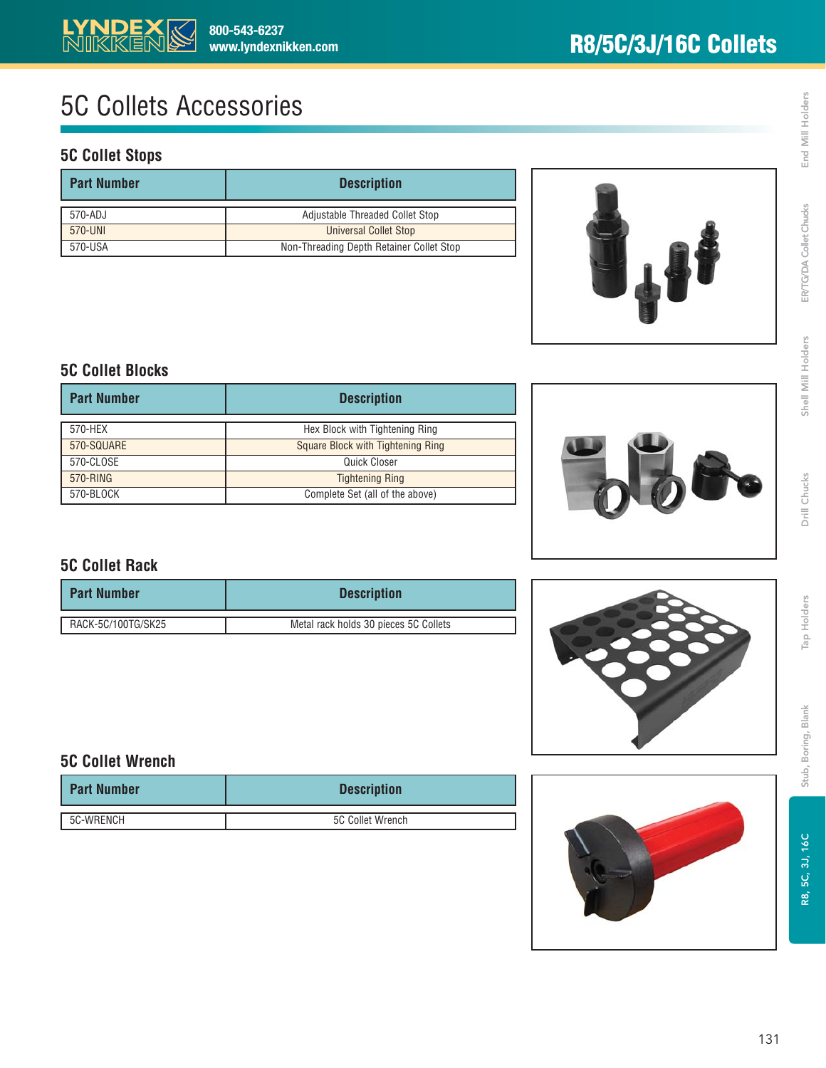## 5C Collets Accessories

#### **5C Collet Stops**

| <b>Part Number</b> | <b>Description</b>                       |  |
|--------------------|------------------------------------------|--|
| 570-ADJ            | Adjustable Threaded Collet Stop          |  |
| 570-UNI            | <b>Universal Collet Stop</b>             |  |
| 570-USA            | Non-Threading Depth Retainer Collet Stop |  |



#### **5C Collet Blocks**

| <b>Part Number</b> | <b>Description</b>                |  |
|--------------------|-----------------------------------|--|
| 570-HEX            | Hex Block with Tightening Ring    |  |
| 570-SQUARE         | Square Block with Tightening Ring |  |
| 570-CLOSE          | Quick Closer                      |  |
| 570-RING           | <b>Tightening Ring</b>            |  |
| 570-BLOCK          | Complete Set (all of the above)   |  |



#### **5C Collet Rack**

| <b>Part Number</b> | <b>Description</b>                    |  |
|--------------------|---------------------------------------|--|
| RACK-5C/100TG/SK25 | Metal rack holds 30 pieces 5C Collets |  |



#### **5C Collet Wrench**

| <b>Part Number</b> | <b>Description</b> |  |
|--------------------|--------------------|--|
| 5C-WRENCH          | 5C Collet Wrench   |  |



Stub, Boring, Blank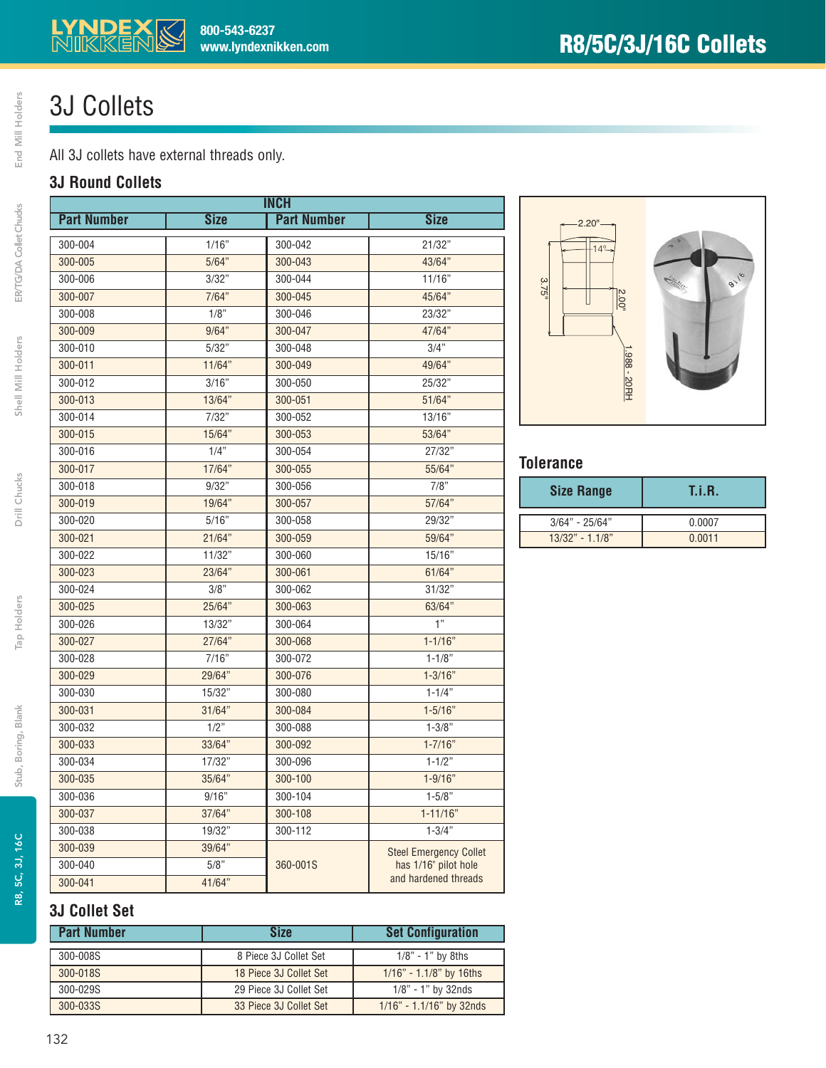## 3J Collets

All 3J collets have external threads only.

**800-543-6237**

**www.lyndexnikken.com**

#### **3J Round Collets**

| <b>INCH</b>        |             |                    |                               |
|--------------------|-------------|--------------------|-------------------------------|
| <b>Part Number</b> | <b>Size</b> | <b>Part Number</b> | <b>Size</b>                   |
| 300-004            | 1/16"       | 300-042            | 21/32"                        |
| 300-005            | 5/64"       | 300-043            | 43/64"                        |
| 300-006            | 3/32"       | 300-044            | 11/16"                        |
| 300-007            | 7/64"       | 300-045            | 45/64"                        |
| 300-008            | 1/8"        | 300-046            | 23/32"                        |
| 300-009            | 9/64"       | 300-047            | 47/64"                        |
| 300-010            | 5/32"       | 300-048            | 3/4"                          |
| 300-011            | 11/64"      | 300-049            | 49/64"                        |
| 300-012            | 3/16"       | 300-050            | 25/32"                        |
| 300-013            | 13/64"      | 300-051            | 51/64"                        |
| 300-014            | 7/32"       | 300-052            | 13/16"                        |
| 300-015            | 15/64"      | 300-053            | 53/64"                        |
| 300-016            | 1/4"        | 300-054            | 27/32"                        |
| 300-017            | 17/64"      | 300-055            | 55/64"                        |
| 300-018            | 9/32"       | 300-056            | 7/8"                          |
| 300-019            | 19/64"      | 300-057            | 57/64"                        |
| 300-020            | 5/16"       | 300-058            | 29/32"                        |
| 300-021            | 21/64"      | 300-059            | 59/64"                        |
| 300-022            | 11/32"      | 300-060            | 15/16"                        |
| 300-023            | 23/64"      | 300-061            | 61/64"                        |
| 300-024            | 3/8"        | 300-062            | 31/32"                        |
| 300-025            | 25/64"      | 300-063            | 63/64"                        |
| 300-026            | 13/32"      | 300-064            | 1"                            |
| 300-027            | 27/64"      | 300-068            | $1 - 1/16"$                   |
| 300-028            | 7/16"       | 300-072            | $1 - 1/8"$                    |
| 300-029            | 29/64"      | 300-076            | $1 - 3/16"$                   |
| 300-030            | 15/32"      | 300-080            | $1 - 1/4"$                    |
| 300-031            | 31/64"      | 300-084            | $1 - 5/16"$                   |
| 300-032            | 1/2"        | 300-088            | $1 - 3/8"$                    |
| 300-033            | 33/64"      | 300-092            | $1 - 7/16"$                   |
| 300-034            | 17/32"      | 300-096            | $1 - 1/2"$                    |
| 300-035            | 35/64"      | 300-100            | $1 - 9/16"$                   |
| 300-036            | 9/16"       | 300-104            | $1 - 5/8"$                    |
| 300-037            | 37/64"      | 300-108            | $1 - 11/16"$                  |
| 300-038            | 19/32"      | 300-112            | $1 - 3/4"$                    |
| 300-039            | 39/64"      |                    | <b>Steel Emergency Collet</b> |
| 300-040            | 5/8"        | 360-001S           | has 1/16" pilot hole          |
| 300-041            | 41/64"      |                    | and hardened threads          |



#### **Tolerance**

| <b>Size Range</b> | T.i.R. |
|-------------------|--------|
| $3/64" - 25/64"$  | 0.0007 |
| $13/32" - 1.1/8"$ | 0.0011 |

#### **3J Collet Set**

| <b>Size</b>            | <b>Set Configuration</b>                                                  |
|------------------------|---------------------------------------------------------------------------|
|                        | $1/8"$ - 1" by 8ths                                                       |
|                        | $1/16" - 1.1/8"$ by 16ths                                                 |
|                        | $1/8" - 1"$ by 32nds                                                      |
| 33 Piece 3J Collet Set | $1/16" - 1.1/16"$ by 32nds                                                |
|                        | 8 Piece 3J Collet Set<br>18 Piece 3J Collet Set<br>29 Piece 3J Collet Set |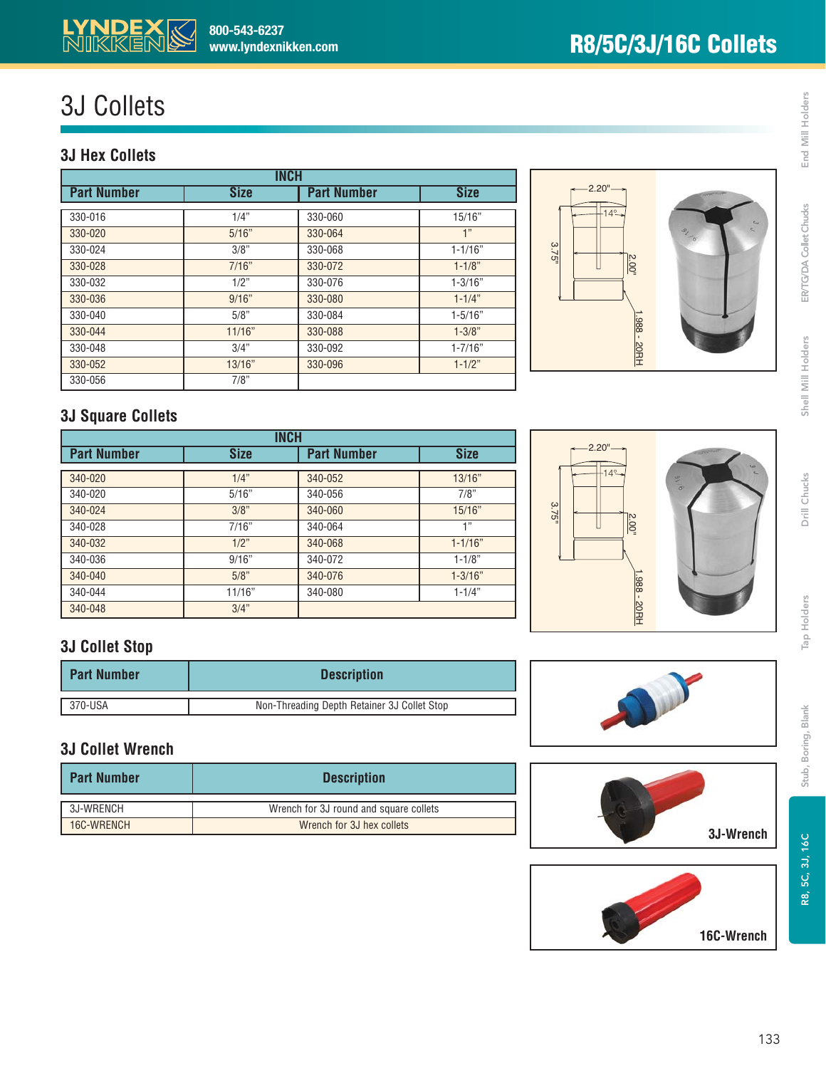

## 3J Collets

#### **3J Hex Collets**

| <b>INCH</b>        |             |                    |             |
|--------------------|-------------|--------------------|-------------|
| <b>Part Number</b> | <b>Size</b> | <b>Part Number</b> | <b>Size</b> |
| 330-016            | 1/4"        | 330-060            | 15/16"      |
| 330-020            | 5/16"       | 330-064            | 1"          |
| 330-024            | 3/8"        | 330-068            | $1 - 1/16"$ |
| 330-028            | 7/16"       | 330-072            | $1 - 1/8"$  |
| 330-032            | 1/2"        | 330-076            | $1 - 3/16"$ |
| 330-036            | 9/16"       | 330-080            | $1 - 1/4"$  |
| 330-040            | 5/8"        | 330-084            | $1 - 5/16"$ |
| 330-044            | 11/16"      | 330-088            | $1 - 3/8"$  |
| 330-048            | 3/4"        | 330-092            | $1 - 7/16"$ |
| 330-052            | 13/16"      | 330-096            | $1 - 1/2"$  |
| 330-056            | 7/8"        |                    |             |



#### **3J Square Collets**

| <b>INCH</b>        |             |                    |             |  |
|--------------------|-------------|--------------------|-------------|--|
| <b>Part Number</b> | <b>Size</b> | <b>Part Number</b> | <b>Size</b> |  |
|                    |             |                    |             |  |
| 340-020            | 1/4"        | 340-052            | 13/16"      |  |
| 340-020            | 5/16"       | 340-056            | 7/8"        |  |
| 340-024            | 3/8"        | 340-060            | 15/16"      |  |
| 340-028            | 7/16"       | 340-064            | 1"          |  |
| 340-032            | 1/2"        | 340-068            | $1 - 1/16"$ |  |
| 340-036            | 9/16"       | 340-072            | $1 - 1/8"$  |  |
| 340-040            | 5/8"        | 340-076            | $1 - 3/16"$ |  |
| 340-044            | 11/16"      | 340-080            | $1 - 1/4"$  |  |
| 340-048            | 3/4"        |                    |             |  |

### **3J Collet Stop**

| <b>Part Number</b>   | <b>Description</b>                          |  |
|----------------------|---------------------------------------------|--|
| $\frac{1}{370}$ -USA | Non-Threading Depth Retainer 3J Collet Stop |  |

#### **3J Collet Wrench**

| <b>Part Number</b> | <b>Description</b>                     |
|--------------------|----------------------------------------|
| 3J-WRENCH          | Wrench for 3J round and square collets |
| 16C-WRENCH         | Wrench for 3J hex collets              |







**16C-Wrench**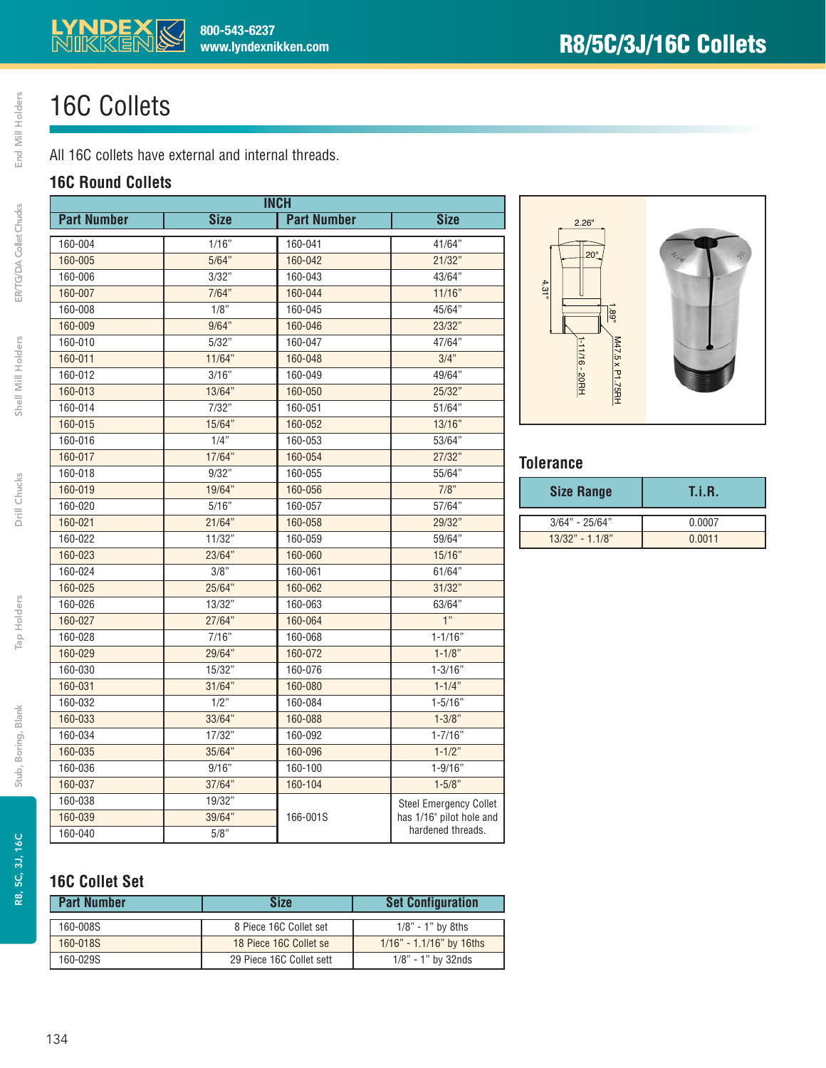## 16C Collets

All 16C collets have external and internal threads.

#### **16C Round Collets**

| <b>INCH</b>        |             |                    |                               |
|--------------------|-------------|--------------------|-------------------------------|
| <b>Part Number</b> | <b>Size</b> | <b>Part Number</b> | <b>Size</b>                   |
| 160-004            | 1/16"       | 160-041            | 41/64"                        |
| 160-005            | 5/64"       | 160-042            | 21/32"                        |
| 160-006            | 3/32"       | 160-043            | 43/64"                        |
| 160-007            | 7/64"       | 160-044            | 11/16"                        |
| 160-008            | 1/8"        | 160-045            | 45/64"                        |
| 160-009            | 9/64"       | 160-046            | 23/32"                        |
| 160-010            | 5/32"       | 160-047            | 47/64"                        |
| 160-011            | 11/64"      | 160-048            | 3/4"                          |
| 160-012            | 3/16"       | 160-049            | 49/64"                        |
| 160-013            | 13/64"      | 160-050            | 25/32"                        |
| 160-014            | 7/32"       | 160-051            | 51/64"                        |
| 160-015            | 15/64"      | 160-052            | 13/16"                        |
| 160-016            | 1/4"        | 160-053            | 53/64"                        |
| 160-017            | 17/64"      | 160-054            | 27/32"                        |
| 160-018            | 9/32"       | 160-055            | 55/64"                        |
| 160-019            | 19/64"      | 160-056            | 7/8"                          |
| 160-020            | 5/16"       | 160-057            | 57/64"                        |
| 160-021            | 21/64"      | 160-058            | 29/32"                        |
| 160-022            | 11/32"      | 160-059            | 59/64"                        |
| 160-023            | 23/64"      | 160-060            | 15/16"                        |
| 160-024            | 3/8"        | 160-061            | 61/64"                        |
| 160-025            | 25/64"      | 160-062            | 31/32"                        |
| 160-026            | 13/32"      | 160-063            | 63/64"                        |
| 160-027            | 27/64"      | 160-064            | 1"                            |
| 160-028            | 7/16"       | 160-068            | $1 - 1/16"$                   |
| 160-029            | 29/64"      | 160-072            | $1 - 1/8"$                    |
| 160-030            | 15/32"      | 160-076            | $1 - 3/16"$                   |
| 160-031            | 31/64"      | 160-080            | $1 - 1/4"$                    |
| 160-032            | 1/2"        | 160-084            | $1 - 5/16"$                   |
| 160-033            | 33/64"      | 160-088            | $1 - 3/8"$                    |
| 160-034            | 17/32"      | 160-092            | $1 - 7/16"$                   |
| 160-035            | 35/64"      | 160-096            | $1 - 1/2"$                    |
| 160-036            | 9/16"       | 160-100            | $1 - 9/16"$                   |
| 160-037            | 37/64"      | 160-104            | $1 - 5/8"$                    |
| 160-038            | 19/32"      |                    | <b>Steel Emergency Collet</b> |
| 160-039            | 39/64"      | 166-001S           | has 1/16" pilot hole and      |
| 160-040            | 5/8"        |                    | hardened threads.             |



#### **Tolerance**

| <b>Size Range</b> | T.i.R. |
|-------------------|--------|
| $3/64" - 25/64"$  | 0.0007 |
| $13/32" - 1.1/8"$ | 0.0011 |

#### **16C Collet Set**

| <b>Part Number</b> | Size                     | <b>Set Configuration</b>   |
|--------------------|--------------------------|----------------------------|
| 160-008S           | 8 Piece 16C Collet set   | $1/8" - 1"$ by 8ths        |
| 160-018S           | 18 Piece 16C Collet se   | $1/16" - 1.1/16"$ by 16ths |
| 160-029S           | 29 Piece 16C Collet sett | $1/8"$ - 1" by 32nds       |

Tap Holders